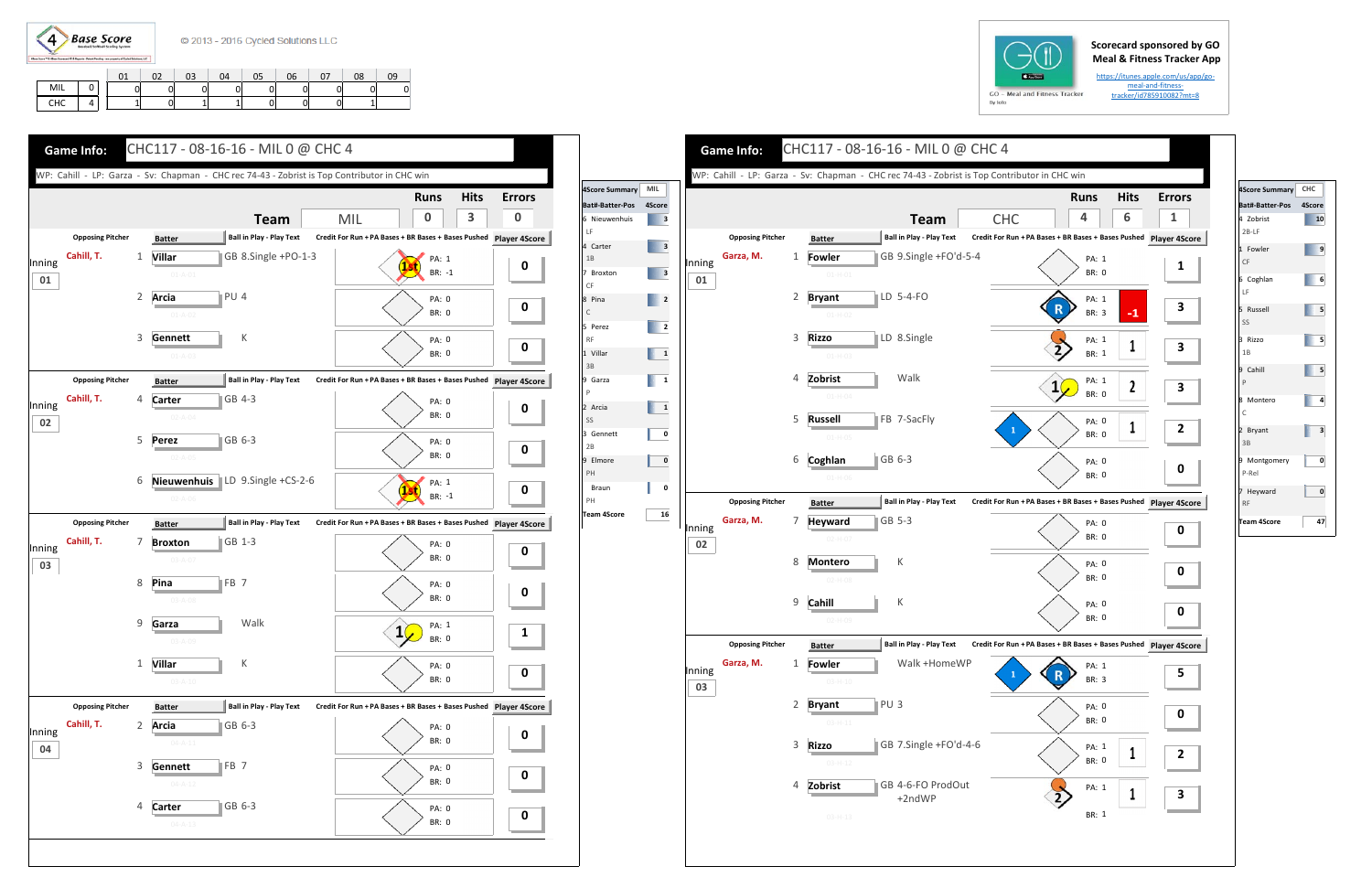

## **Scorecard sponsored by GO Meal & Fitness Tracker App**

https://itunes.apple.com/us/app/go‐ meal-and-fitnesstracker/id785910082?mt=8

|     |  |   | o٦<br>ັ | 03 | 04 | 05 | 06 | 08 | 09 |
|-----|--|---|---------|----|----|----|----|----|----|
| MIL |  | 0 |         |    |    |    |    |    | C  |
| CHC |  |   |         |    |    |    |    |    |    |





**Team**

Walk



K

K

Walk +HomeWP

+2ndWP

| 4Score Summary         | CHC    |
|------------------------|--------|
| Bat#-Batter-Pos        | 4Score |
| 4 Zobrist<br>$2B-LF$   | 10     |
| 1 Fowler<br>CF         | 9      |
| 6 Coghlan<br>LF        | 6      |
| 5 Russell<br>SS        | 5      |
| 3 Rizzo<br>1B          | 5      |
| 9 Cahill<br>P          | 5      |
| 8 Montero<br>C         | 4      |
| 2 Bryant<br>3B         | 3      |
| 9 Montgomery<br>P-Rel  | 0      |
| 7 Heyward<br><b>RF</b> | 0      |
| <b>Team 4Score</b>     | 47     |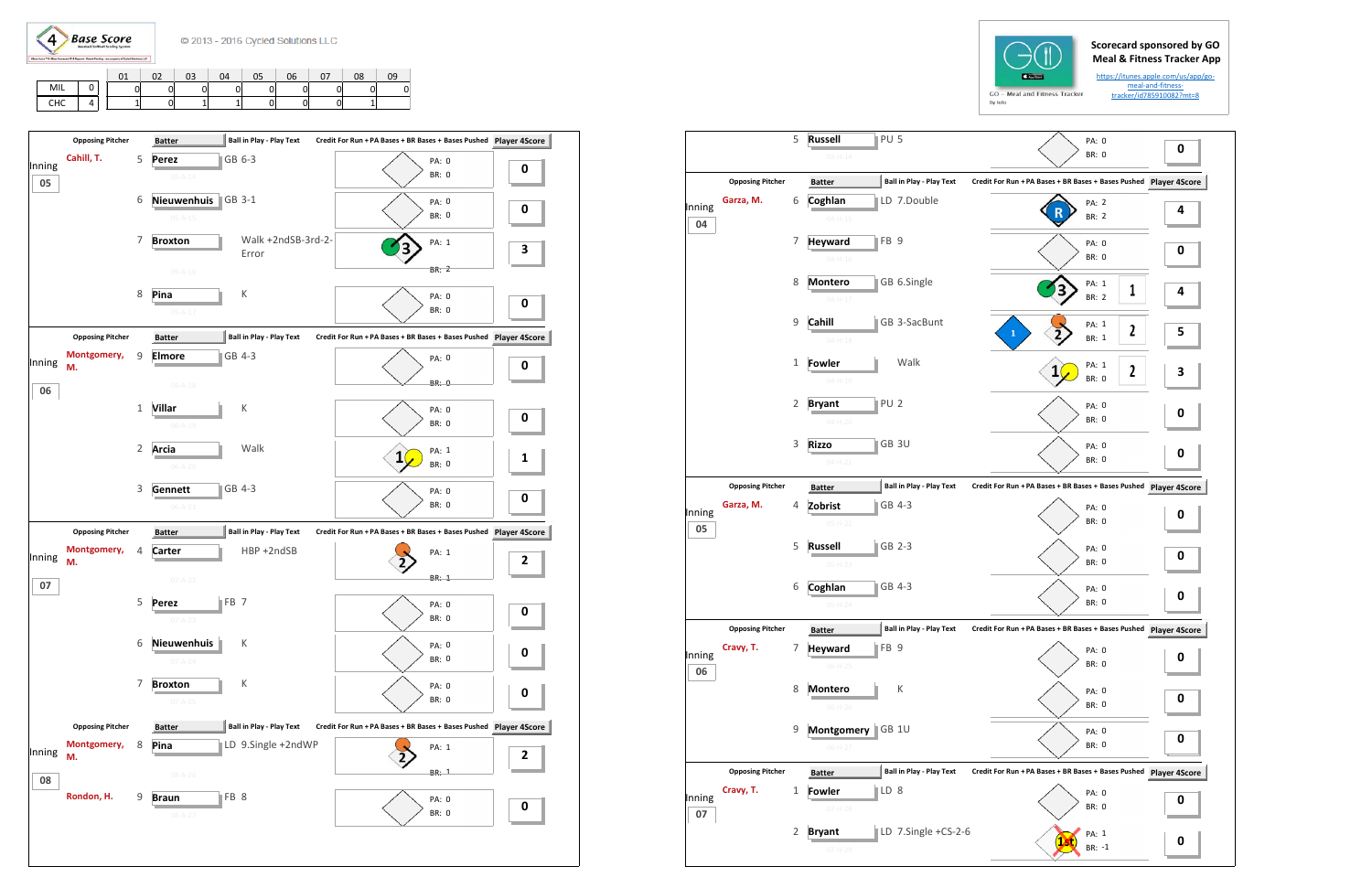

## **Scorecard sponsored by GO Meal & Fitness Tracker App**

https://itunes.apple.com/us/app/go‐ meal-and-fitnesstracker/id785910082?mt=8

|     |   |    | 02 | 03 | 04 | 05 | 06 | 07 | 08 | 09 |
|-----|---|----|----|----|----|----|----|----|----|----|
| MIL |   | Οl |    |    |    |    |    |    |    |    |
| CHC | 4 |    |    |    |    |    |    |    |    |    |

|              |                         | 5            | PU <sub>5</sub><br><b>Russell</b><br>$03 - H - 14$ |                                 |                                                               | PA: 0<br><b>BR: 0</b> | 0 |
|--------------|-------------------------|--------------|----------------------------------------------------|---------------------------------|---------------------------------------------------------------|-----------------------|---|
|              |                         |              |                                                    |                                 |                                                               |                       |   |
|              | <b>Opposing Pitcher</b> |              | <b>Batter</b>                                      | <b>Ball in Play - Play Text</b> | Credit For Run + PA Bases + BR Bases + Bases Pushed Player 4S |                       |   |
| Inning       | Garza, M.               | 6            | Coghlan<br>$04 - H - 15$                           | LD 7.Double                     |                                                               | PA: 2<br><b>BR: 2</b> | 4 |
| 04           |                         |              |                                                    |                                 |                                                               |                       |   |
|              |                         | 7            | FB 9<br><b>Heyward</b><br>$04 - H - 16$            |                                 |                                                               | PA: 0<br><b>BR: 0</b> | 0 |
|              |                         | 8            |                                                    |                                 |                                                               |                       |   |
|              |                         |              | <b>Montero</b><br>$04 - H - 17$                    | GB 6.Single                     |                                                               | PA: 1<br>1<br>BR: 2   | 4 |
|              |                         | 9            | Cahill                                             | GB 3-SacBunt                    |                                                               | PA: 1                 |   |
|              |                         |              | $04 - H - 18$                                      |                                 | $\mathbf{1}$                                                  | 2<br>BR: 1            | 5 |
|              |                         | 1            | Fowler                                             | Walk                            |                                                               | PA: 1<br>$\mathbf 2$  |   |
|              |                         |              | $04 - H - 19$                                      |                                 | 1                                                             | <b>BR: 0</b>          | З |
|              |                         | 2            | PU <sub>2</sub><br><b>Bryant</b>                   |                                 |                                                               | PA: 0                 |   |
|              |                         |              | $04 - H - 20$                                      |                                 |                                                               | <b>BR: 0</b>          | 0 |
|              |                         | 3            | ∥GB 3U<br><b>Rizzo</b>                             |                                 |                                                               | PA: 0                 | 0 |
|              |                         |              | $04 - H - 21$                                      |                                 |                                                               | <b>BR: 0</b>          |   |
|              | <b>Opposing Pitcher</b> |              | <b>Batter</b>                                      | <b>Ball in Play - Play Text</b> | Credit For Run + PA Bases + BR Bases + Bases Pushed Player 4S |                       |   |
| Inning       | Garza, M.               | 4            | GB 4-3<br>Zobrist                                  |                                 |                                                               | PA: 0                 | 0 |
| 05           |                         |              | 05-H-22                                            |                                 |                                                               | <b>BR: 0</b>          |   |
|              |                         | 5            | GB 2-3<br><b>Russell</b>                           |                                 |                                                               | PA: 0<br><b>BR: 0</b> | 0 |
|              |                         |              | $05-H-23$                                          |                                 |                                                               |                       |   |
|              |                         | 6            | Coghlan<br>GB 4-3                                  |                                 |                                                               | PA: 0                 | 0 |
|              |                         |              | $05-H-24$                                          |                                 |                                                               | <b>BR: 0</b>          |   |
|              | <b>Opposing Pitcher</b> |              | <b>Batter</b>                                      | Ball in Play - Play Text        | Credit For Run + PA Bases + BR Bases + Bases Pushed Player 4S |                       |   |
| Inning       | Cravy, T.               | 7            | FB <sub>9</sub><br><b>Heyward</b>                  |                                 |                                                               | PA: 0                 | 0 |
| 06           |                         |              | $06-H-25$                                          |                                 |                                                               | BR: 0                 |   |
|              |                         | 8            | <b>Montero</b>                                     | К                               |                                                               | PA: 0<br>BR: 0        | 0 |
|              |                         |              | $06-H-26$                                          |                                 |                                                               |                       |   |
|              |                         | 9            | Montgomery<br>GB <sub>1U</sub><br>$06-H-27$        |                                 |                                                               | PA: 0<br>BR: 0        | 0 |
|              | <b>Opposing Pitcher</b> |              | <b>Batter</b>                                      | <b>Ball in Play - Play Text</b> | Credit For Run + PA Bases + BR Bases + Bases Pushed Player 4S |                       |   |
|              | Cravy, T.               | $\mathbf{1}$ | $\mathbb{ID} 8$<br><b>Fowler</b>                   |                                 |                                                               | PA: 0                 |   |
| Inning<br>07 |                         |              | $07-H-28$                                          |                                 |                                                               | BR: 0                 | 0 |
|              |                         | 2            | <b>Bryant</b>                                      | LD 7.Single +CS-2-6             |                                                               | PA: 1                 | 0 |
|              |                         |              | $07 - H - 29$                                      |                                 |                                                               | BR: -1                |   |